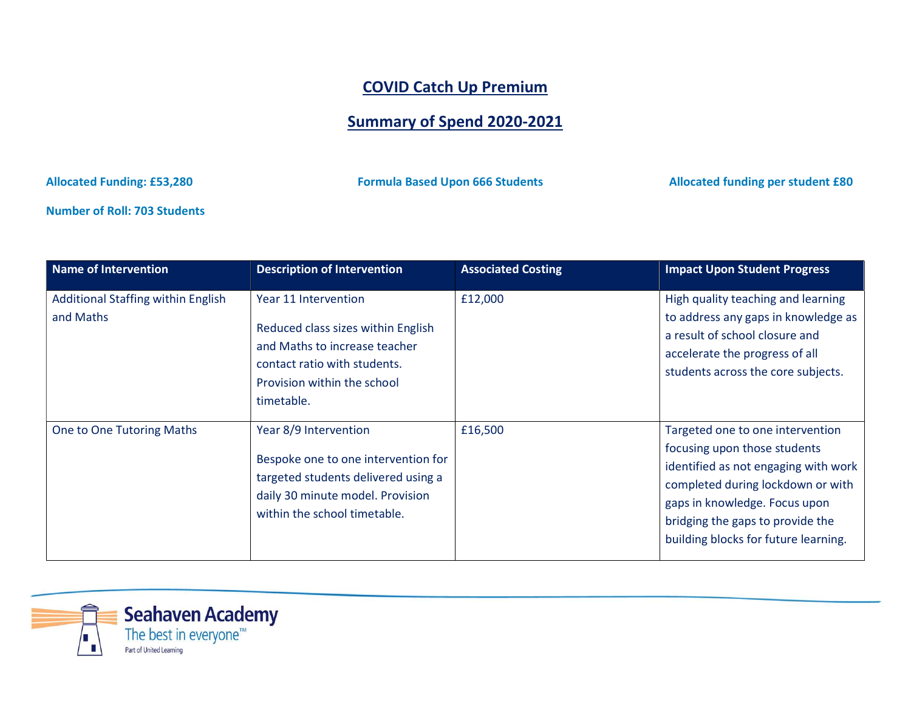## COVID Catch Up Premium

## Summary of Spend 2020-2021

Allocated Funding: £53,280 **Formula Based Upon 666 Students** Allocated funding per student £80

Number of Roll: 703 Students

| <b>Name of Intervention</b>                     | <b>Description of Intervention</b>                                                                                                                                       | <b>Associated Costing</b> | <b>Impact Upon Student Progress</b>                                                                                                                                                                                                                        |
|-------------------------------------------------|--------------------------------------------------------------------------------------------------------------------------------------------------------------------------|---------------------------|------------------------------------------------------------------------------------------------------------------------------------------------------------------------------------------------------------------------------------------------------------|
| Additional Staffing within English<br>and Maths | Year 11 Intervention<br>Reduced class sizes within English<br>and Maths to increase teacher<br>contact ratio with students.<br>Provision within the school<br>timetable. | £12,000                   | High quality teaching and learning<br>to address any gaps in knowledge as<br>a result of school closure and<br>accelerate the progress of all<br>students across the core subjects.                                                                        |
| One to One Tutoring Maths                       | Year 8/9 Intervention<br>Bespoke one to one intervention for<br>targeted students delivered using a<br>daily 30 minute model. Provision<br>within the school timetable.  | £16,500                   | Targeted one to one intervention<br>focusing upon those students<br>identified as not engaging with work<br>completed during lockdown or with<br>gaps in knowledge. Focus upon<br>bridging the gaps to provide the<br>building blocks for future learning. |